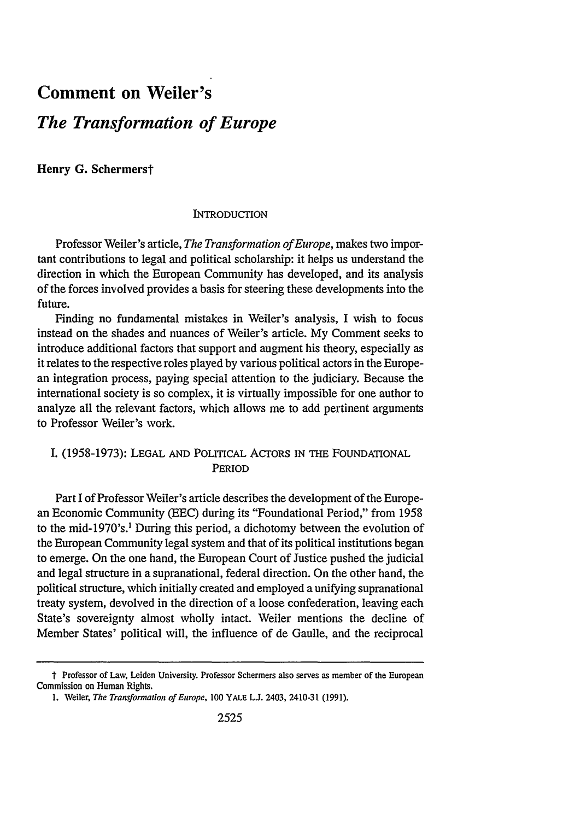# **Comment on Weiler's** *The Transformation of Europe*

Henry **G.** Schermerst

#### **INTRODUCTION**

Professor Weiler's article, *The Transformation of Europe,* makes two important contributions to legal and political scholarship: it helps us understand the direction in which the European Community has developed, and its analysis of the forces involved provides a basis for steering these developments into the future.

Finding no fundamental mistakes in Weiler's analysis, I wish to focus instead on the shades and nuances of Weiler's article. My Comment seeks to introduce additional factors that support and augment his theory, especially as it relates to the respective roles played by various political actors in the European integration process, paying special attention to the judiciary. Because the international society is so complex, it is virtually impossible for one author to analyze all the relevant factors, which allows me to add pertinent arguments to Professor Weiler's work.

# **I.** (1958-1973): LEGAL AND POLITICAL ACTORS IN THE FOUNDATIONAL PERIOD

Part I of Professor Weiler's article describes the development of the European Economic Community (EEC) during its "Foundational Period," from 1958 to the mid-1970's. 1 During this period, a dichotomy between the evolution of the European Community legal system and that of its political institutions began to emerge. On the one hand, the European Court of Justice pushed the judicial and legal structure in a supranational, federal direction. On the other hand, the political structure, which initially created and employed a unifying supranational treaty system, devolved in the direction of a loose confederation, leaving each State's sovereignty almost wholly intact. Weiler mentions the decline of Member States' political will, the influence of de Gaulle, and the reciprocal

t Professor of Law, Leiden University. Professor Schermers also serves as member of the European Commission on Human Rights.

**<sup>1.</sup>** Weiler, The Transformation *of Europe,* 100 YALE **L.J.** 2403, 2410-31 (1991).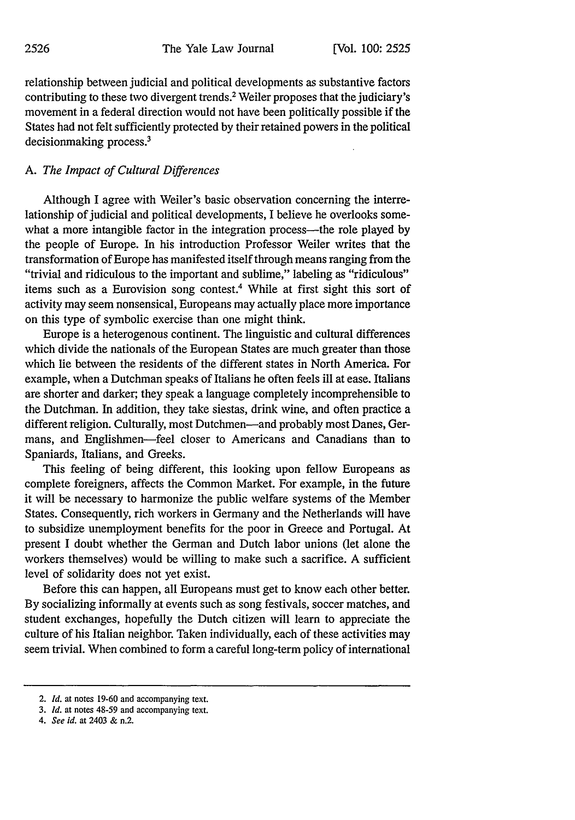relationship between judicial and political developments as substantive factors contributing to these two divergent trends.2 Weiler proposes that the judiciary's movement in a federal direction would not have been politically possible if the States had not felt sufficiently protected by their retained powers in the political decisionmaking process.3

## *A. The Impact of Cultural Differences*

Although I agree with Weiler's basic observation concerning the interrelationship of judicial and political developments, I believe he overlooks somewhat a more intangible factor in the integration process—the role played by the people of Europe. In his introduction Professor Weiler writes that the transformation of Europe has manifested itself through means ranging from the "trivial and ridiculous to the important and sublime," labeling as "ridiculous" items such as a Eurovision song contest.<sup>4</sup> While at first sight this sort of activity may seem nonsensical, Europeans may actually place more importance on this type of symbolic exercise than one might think.

Europe is a heterogenous continent. The linguistic and cultural differences which divide the nationals of the European States are much greater than those which lie between the residents of the different states in North America. For example, when a Dutchman speaks of Italians he often feels ill at ease. Italians are shorter and darker; they speak a language completely incomprehensible to the Dutchman. In addition, they take siestas, drink wine, and often practice a different religion. Culturally, most Dutchmen-and probably most Danes, Germans, and Englishmen-feel closer to Americans and Canadians than to Spaniards, Italians, and Greeks.

This feeling of being different, this looking upon fellow Europeans as complete foreigners, affects the Common Market. For example, in the future it will be necessary to harmonize the public welfare systems of the Member States. Consequently, rich workers in Germany and the Netherlands will have to subsidize unemployment benefits for the poor in Greece and Portugal. At present I doubt whether the German and Dutch labor unions (let alone the workers themselves) would be willing to make such a sacrifice. A sufficient level of solidarity does not yet exist.

Before this can happen, all Europeans must get to know each other better. By socializing informally at events such as song festivals, soccer matches, and student exchanges, hopefully the Dutch citizen will learn to appreciate the culture of his Italian neighbor. Taken individually, each of these activities may seem trivial. When combined to form a careful long-term policy of international

<sup>2.</sup> *Id.* at notes 19-60 and accompanying text.

<sup>3.</sup> *Id.* at notes 48-59 and accompanying text.

*<sup>4.</sup> See id.* at 2403 & n.2.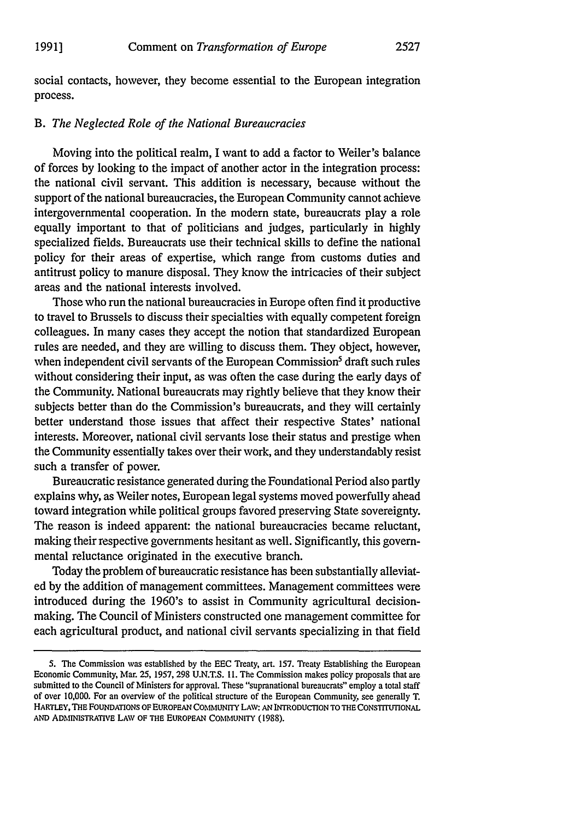social contacts, however, they become essential to the European integration process.

## *B. The Neglected Role of the National Bureaucracies*

Moving into the political realm, I want to add a factor to Weiler's balance of forces by looking to the impact of another actor in the integration process: the national civil servant. This addition is necessary, because without the support of the national bureaucracies, the European Community cannot achieve intergovernmental cooperation. In the modern state, bureaucrats play a role equally important to that of politicians and judges, particularly in highly specialized fields. Bureaucrats use their technical skills to define the national policy for their areas of expertise, which range from customs duties and antitrust policy to manure disposal. They know the intricacies of their subject areas and the national interests involved.

Those who run the national bureaucracies in Europe often find it productive to travel to Brussels to discuss their specialties with equally competent foreign colleagues. In many cases they accept the notion that standardized European rules are needed, and they are willing to discuss them. They object, however, when independent civil servants of the European Commission<sup>5</sup> draft such rules without considering their input, as was often the case during the early days of the Community. National bureaucrats may rightly believe that they know their subjects better than do the Commission's bureaucrats, and they will certainly better understand those issues that affect their respective States' national interests. Moreover, national civil servants lose their status and prestige when the Community essentially takes over their work, and they understandably resist such a transfer of power.

Bureaucratic resistance generated during the Foundational Period also partly explains why, as Weiler notes, European legal systems moved powerfully ahead toward integration while political groups favored preserving State sovereignty. The reason is indeed apparent: the national bureaucracies became reluctant, making their respective governments hesitant as well. Significantly, this governmental reluctance originated in the executive branch.

Today the problem of bureaucratic resistance has been substantially alleviated by the addition of management committees. Management committees were introduced during the 1960's to assist in Community agricultural decisionmaking. The Council of Ministers constructed one management committee for each agricultural product, and national civil servants specializing in that field

<sup>5.</sup> The Commission was established by the EEC Treaty, art. 157. Treaty Establishing the European Economic Community, Mar. 25, 1957, 298 U.N.T.S. 11. The Commission makes policy proposals that are submitted to the Council of Ministers for approval. These "supranational bureaucrats" employ a total staff of over 10,000. For an overview of the political structure of the European Community., see generally T. HARTLEY, THE **FOUNDATIONS** OF EUROPEAN COMMUNITY LAW: **AN** INTRODUCTION TO THE **CONSTITUTIONAL AND** ADMINISTRATIVE LAW OF THE **EUROPEAN COMMUNITY** (1988).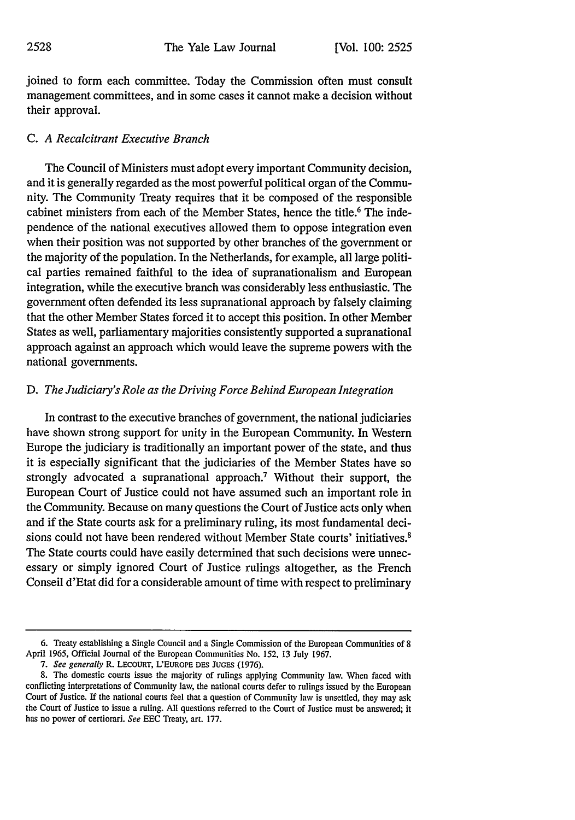joined to form each committee. Today the Commission often must consult management committees, and in some cases it cannot make a decision without their approval.

## C. *A Recalcitrant Executive Branch*

The Council of Ministers must adopt every important Community decision, and it is generally regarded as the most powerful political organ of the Community. The Community Treaty requires that it be composed of the responsible cabinet ministers from each of the Member States, hence the title.<sup>6</sup> The independence of the national executives allowed them to oppose integration even when their position was not supported by other branches of the government or the majority of the population. In the Netherlands, for example, all large political parties remained faithful to the idea of supranationalism and European integration, while the executive branch was considerably less enthusiastic. The government often defended its less supranational approach by falsely claiming that the other Member States forced it to accept this position. In other Member States as well, parliamentary majorities consistently supported a supranational approach against an approach which would leave the supreme powers with the national governments.

# *D. The Judiciary's Role as the Driving Force Behind European Integration*

In contrast to the executive branches of government, the national judiciaries have shown strong support for unity in the European Community. In Western Europe the judiciary is traditionally an important power of the state, and thus it is especially significant that the judiciaries of the Member States have so strongly advocated a supranational approach.<sup>7</sup> Without their support, the European Court of Justice could not have assumed such an important role in the Community. Because on many questions the Court of Justice acts only when and if the State courts ask for a preliminary ruling, its most fundamental decisions could not have been rendered without Member State courts' initiatives.<sup>8</sup> The State courts could have easily determined that such decisions were unnecessary or simply ignored Court of Justice rulings altogether, as the French Conseil d'Etat did for a considerable amount of time with respect to preliminary

<sup>6.</sup> Treaty establishing a Single Council and a Single Commission of the European Communities of 8 April 1965, Official Journal of the European Communities No. 152, 13 July 1967.

*<sup>7.</sup> See generally* R. LECOURT, L'EUROPE DES **JUGES** (1976).

<sup>8.</sup> The domestic courts issue the majority of rulings applying Community law. When faced with conflicting interpretations of Community law, the national courts defer to rulings issued by the European Court of Justice. If the national courts feel that a question of Community law is unsettled, they may ask the Court of Justice to issue a ruling. All questions referred to the Court of Justice must be answered; it has no power of certiorari. *See* EEC Treaty, art. 177.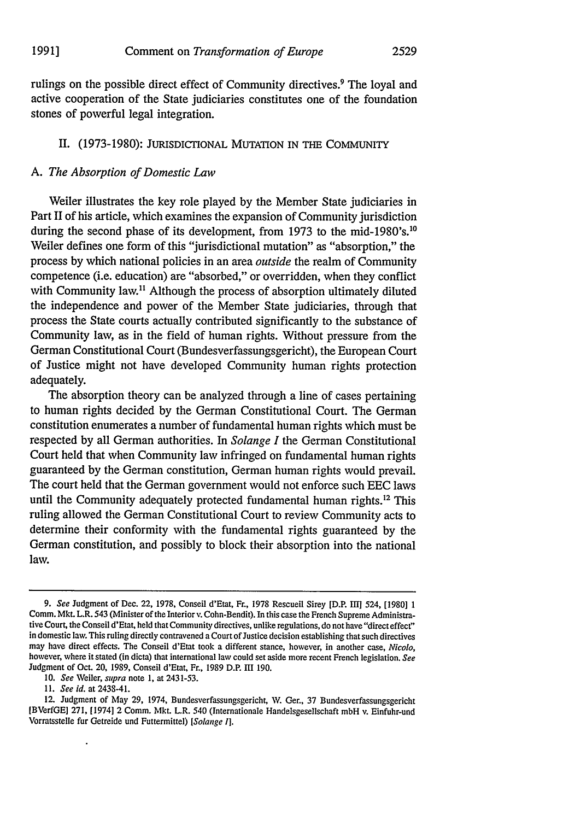rulings on the possible direct effect of Community directives.9 The loyal and active cooperation of the State judiciaries constitutes one of the foundation stones of powerful legal integration.

#### II. (1973-1980): JURISDICTIONAL MUTATION IN THE COMMUNITY

#### *A. The Absorption of Domestic Law*

Weiler illustrates the key role played by the Member State judiciaries in Part II of his article, which examines the expansion of Community jurisdiction during the second phase of its development, from 1973 to the mid-1980's.<sup>10</sup> Weiler defines one form of this "jurisdictional mutation" as "absorption," the process by which national policies in an area *outside* the realm of Community competence (i.e. education) are "absorbed," or overridden, when they conflict with Community law.<sup>11</sup> Although the process of absorption ultimately diluted the independence and power of the Member State judiciaries, through that process the State courts actually contributed significantly to the substance of Community law, as in the field of human rights. Without pressure from the German Constitutional Court (Bundesverfassungsgericht), the European Court of Justice might not have developed Community human rights protection adequately.

The absorption theory can be analyzed through a line of cases pertaining to human rights decided by the German Constitutional Court. The German constitution enumerates a number of fundamental human rights which must be respected by all German authorities. In *Solange I* the German Constitutional Court held that when Community law infringed on fundamental human rights guaranteed by the German constitution, German human rights would prevail. The court held that the German government would not enforce such EEC laws until the Community adequately protected fundamental human rights.<sup>12</sup> This ruling allowed the German Constitutional Court to review Community acts to determine their conformity with the fundamental rights guaranteed by the German constitution, and possibly to block their absorption into the national law.

*<sup>9.</sup> See* Judgment of Dec. 22, 1978, Conseil d'Etat, Fr., 1978 Rescueil Sirey [D.P. III] 524, [1980] 1 Comm. Mkt. L.R. 543 (Minister of the Interior v. Cohn-Bendit). In this case the French Supreme Administrative Court, the Conseil d'Etat, held that Community directives, unlike regulations, do not have "direct effect" in domestic law. This ruling directly contravened a Court of Justice decision establishing that such directives may have direct effects. The Conseil d'Etat took a different stance, however, in another case, *Nicolo,* however, where it stated (in dicta) that international law could set aside more recent French legislation. *See* Judgment of Oct. 20, 1989, Conseil d'Etat, Fr., 1989 D.P. **111190.**

<sup>10.</sup> *See Weiler, supra* note 1, at 2431-53.

*<sup>11.</sup> See id.* at 2438-41.

<sup>12.</sup> Judgment of May 29, 1974, Bundesverfassungsgericht, **W.** Ger., 37 Bundesverfassungsgericht [BVerfGE] 271, [19741 2 Comm. Mkt. L.R. 540 (Internationale Handelsgesellschaft mbH v. Einfuhr-und Vorratsstelle fur Getreide und Futtermittel) *[Solange I].*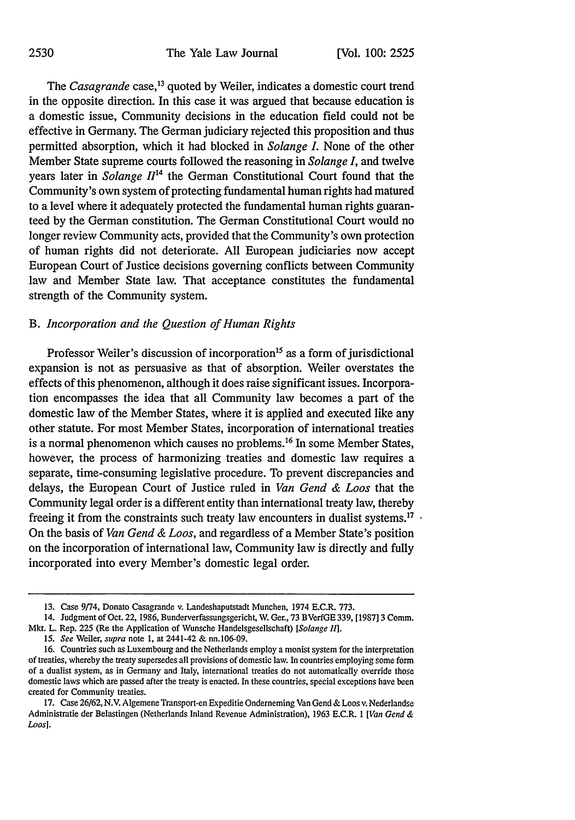The *Casagrande* case,<sup>13</sup> quoted by Weiler, indicates a domestic court trend in the opposite direction. In this case it was argued that because education is a domestic issue, Community decisions in the education field could not be effective in Germany. The German judiciary rejected this proposition and thus permitted absorption, which it had blocked in *Solange L* None of the other Member State supreme courts followed the reasoning in *Solange I,* and twelve years later in *Solange H 114* the German Constitutional Court found that the Community's own system of protecting fundamental human rights had matured to a level where it adequately protected the fundamental human rights guaranteed by the German constitution. The German Constitutional Court would no longer review Community acts, provided that the Community's own protection of human rights did not deteriorate. All European judiciaries now accept European Court of Justice decisions governing conflicts between Community law and Member State law. That acceptance constitutes the fundamental strength of the Community system.

## *B. Incorporation and the Question of Human Rights*

Professor Weiler's discussion of incorporation<sup>15</sup> as a form of jurisdictional expansion is not as persuasive as that of absorption. Weiler overstates the effects of this phenomenon, although it does raise significant issues. Incorporation encompasses the idea that all Community law becomes a part of the domestic law of the Member States, where it is applied and executed like any other statute. For most Member States, incorporation of international treaties is a normal phenomenon which causes no problems.<sup>16</sup> In some Member States, however, the process of harmonizing treaties and domestic law requires a separate, time-consuming legislative procedure. To prevent discrepancies and delays, the European Court of Justice ruled in *Van Gend & Loos* that the Community legal order is a different entity than international treaty law, thereby freeing it from the constraints such treaty law encounters in dualist systems.<sup>17</sup> On the basis of *Van Gend & Loos,* and regardless of a Member State's position on the incorporation of international law, Community law is directly and fully incorporated into every Member's domestic legal order.

<sup>13.</sup> Case 9/74, Donato Casagrande v. Landeshaputstadt Munchen, 1974 E.C.R. 773.

<sup>14.</sup> Judgment of Oct. 22, 1986, Bunderverfassungsgericht, **W.** Ger., 73 BVerfGE 339, [1987] 3 Comm. Mkt. L. Rep. 225 (Re the Application of Wunsche Handelsgesellschaft) *[Solange Ill.*

*<sup>15.</sup> See* Weiler, *supra* note I, at 2441-42 & nn.106-09.

<sup>16.</sup> Countries such as Luxembourg and the Netherlands employ a monist system for the interpretation of treaties, whereby the treaty supersedes all provisions of domestic law. In countries employing some form of a dualist system, as in Germany and Italy, international treaties do not automatically override those domestic laws which are passed after the treaty is enacted. In these countries, special exceptions have been created for Community treaties.

<sup>17.</sup> Case 26/62, N.V. Algemene Transport-en Expeditie Onderneming Van Gend & Loos v. Nederlandse Administratie der Belastingen (Netherlands Inland Revenue Administration), 1963 E.C.R. *I [Van Gend & Loos].*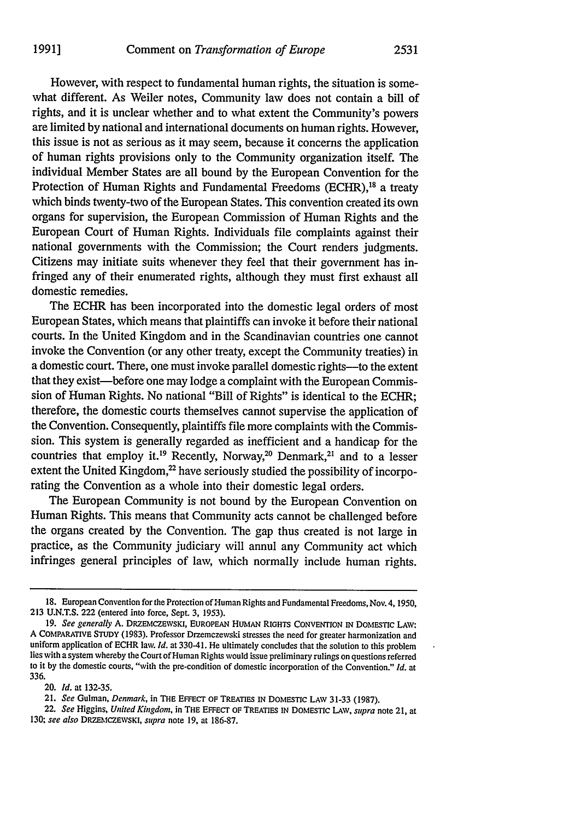# However, with respect to fundamental human rights, the situation is somewhat different. As Weiler notes, Community law does not contain a bill of rights, and it is unclear whether and to what extent the Community's powers are limited by national and international documents on human rights. However, this issue is not as serious as it may seem, because it concerns the application of human rights provisions only to the Community organization itself. The individual Member States are all bound by the European Convention for the Protection of Human Rights and Fundamental Freedoms (ECHR),<sup>18</sup> a treaty which binds twenty-two of the European States. This convention created its own organs for supervision, the European Commission of Human Rights and the European Court of Human Rights. Individuals file complaints against their national governments with the Commission; the Court renders judgments.

Citizens may initiate suits whenever they feel that their government has infringed any of their enumerated rights, although they must first exhaust all domestic remedies.

The ECHR has been incorporated into the domestic legal orders of most European States, which means that plaintiffs can invoke it before their national courts. In the United Kingdom and in the Scandinavian countries one cannot invoke the Convention (or any other treaty, except the Community treaties) in a domestic court. There, one must invoke parallel domestic rights-to the extent that they exist-before one may lodge a complaint with the European Commission of Human Rights. No national "Bill of Rights" is identical to the ECHR; therefore, the domestic courts themselves cannot supervise the application of the Convention. Consequently, plaintiffs file more complaints with the Commission. This system is generally regarded as inefficient and a handicap for the countries that employ it.<sup>19</sup> Recently, Norway,<sup>20</sup> Denmark,<sup>21</sup> and to a lesser extent the United Kingdom,<sup>22</sup> have seriously studied the possibility of incorporating the Convention as a whole into their domestic legal orders.

The European Community is not bound by the European Convention on Human Rights. This means that Community acts cannot be challenged before the organs created by the Convention. The gap thus created is not large in practice, as the Community judiciary will annul any Community act which infringes general principles of law, which normally include human rights.

20. *Id.* at 132-35.

**<sup>18.</sup>** European Convention for the Protection of Human Rights and Fundamental Freedoms, Nov. 4, 1950, 213 U.N.T.S. 222 (entered into force, Sept. 3, 1953).

<sup>19.</sup> See generally A. DRZEMCZEWSKI, EUROPEAN HUMAN RIGHTS CONVENTION IN DOMESTIC LAW: A COMPARATIVE STUDY (1983). Professor Drzemczewski stresses the need for greater harmonization and uniform application of ECHR law. *Id.* at 330-41. He ultimately concludes that the solution to this problem lies with a system whereby the Court of Human Rights would issue preliminary rulings on questions referred to it by the domestic courts, "with the pre-condition of domestic incorporation of the Convention." *Id.* at 336.

<sup>21.</sup> *See* Gulman, *Denmark,* in **THE EFFECT OF** TREATIES **IN** DOMESTIC **LAW 31-33 (1987).**

<sup>22.</sup> See Higgins, *United Kingdom,* in **THE** EFFECT OF TREATIES **IN** DOMESTIC LAW, *supra* note 21, at 130; see also DRZEMCZEWSKI, supra note 19, at 186-87.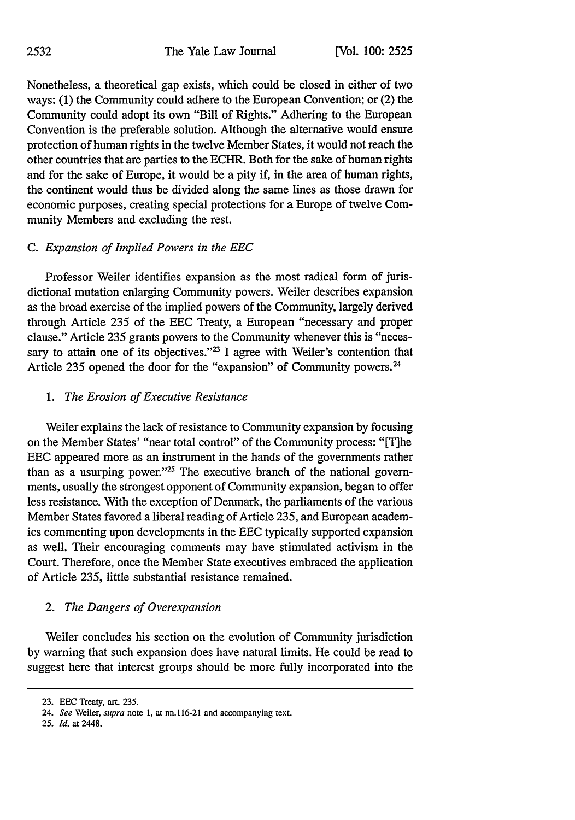Nonetheless, a theoretical gap exists, which could be closed in either of two ways: (1) the Community could adhere to the European Convention; or (2) the Community could adopt its own "Bill of Rights." Adhering to the European Convention is the preferable solution. Although the alternative would ensure protection of human rights in the twelve Member States, it would not reach the other countries that are parties to the ECHR. Both for the sake of human rights and for the sake of Europe, it would be a pity if, in the area of human rights, the continent would thus be divided along the same lines as those drawn for economic purposes, creating special protections for a Europe of twelve Community Members and excluding the rest.

# *C. Expansion of Implied Powers in the EEC*

Professor Weiler identifies expansion as the most radical form of jurisdictional mutation enlarging Community powers. Weiler describes expansion as the broad exercise of the implied powers of the Community, largely derived through Article 235 of the EEC Treaty, a European "necessary and proper clause." Article 235 grants powers to the Community whenever this is "necessary to attain one of its objectives."<sup>23</sup> I agree with Weiler's contention that Article 235 opened the door for the "expansion" of Community powers.<sup>24</sup>

# *1. The Erosion of Executive Resistance*

Weiler explains the lack of resistance to Community expansion by focusing on the Member States' "near total control" of the Community process: "[T]he EEC appeared more as an instrument in the hands of the governments rather than as a usurping power."<sup>25</sup> The executive branch of the national governments, usually the strongest opponent of Community expansion, began to offer less resistance. With the exception of Denmark, the parliaments of the various Member States favored a liberal reading of Article 235, and European academics commenting upon developments in the EEC typically supported expansion as well. Their encouraging comments may have stimulated activism in the Court. Therefore, once the Member State executives embraced the application of Article 235, little substantial resistance remained.

# *2. The Dangers of Overexpansion*

Weiler concludes his section on the evolution of Community jurisdiction by warning that such expansion does have natural limits. He could be read to suggest here that interest groups should be more fully incorporated into the

<sup>23.</sup> EEC Treaty, art. 235.

<sup>24.</sup> *See* Weiler, *supra* note 1, at nn.116-21 and accompanying text.

<sup>25.</sup> *Id.* at 2448.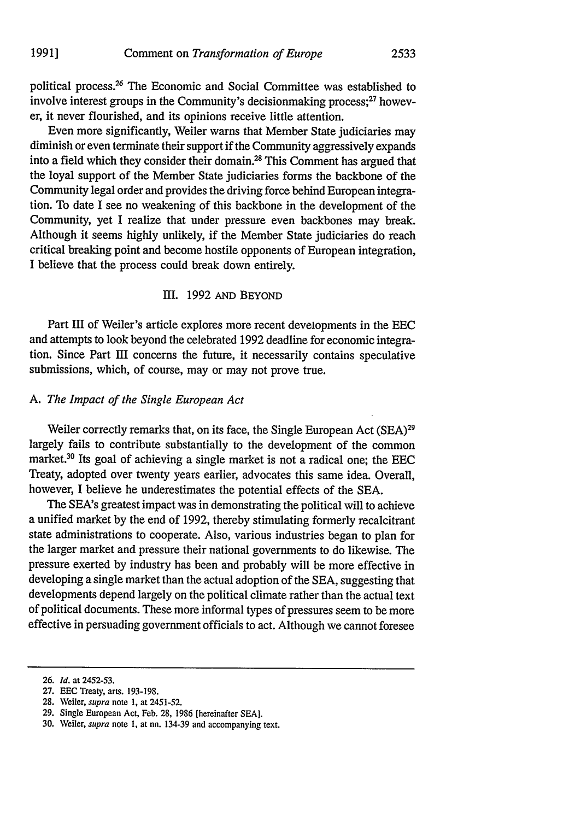political process.<sup>26</sup> The Economic and Social Committee was established to involve interest groups in the Community's decisionmaking process;<sup>27</sup> however, it never flourished, and its opinions receive little attention.

Even more significantly, Weiler warns that Member State judiciaries may diminish or even terminate their support if the Community aggressively expands into a field which they consider their domain.<sup>28</sup> This Comment has argued that the loyal support of the Member State judiciaries forms the backbone of the Community legal order and provides the driving force behind European integration. To date I see no weakening of this backbone in the development of the Community, yet I realize that under pressure even backbones may break. Although it seems highly unlikely, if the Member State judiciaries do reach critical breaking point and become hostile opponents of European integration, I believe that the process could break down entirely.

## I1. 1992 **AND** BEYOND

Part III of Weiler's article explores more recent developments in the EEC and attempts to look beyond the celebrated 1992 deadline for economic integration. Since Part III concerns the future, it necessarily contains speculative submissions, which, of course, may or may not prove true.

# *A. The Impact of the Single European Act*

Weiler correctly remarks that, on its face, the Single European Act (SEA)<sup>29</sup> largely fails to contribute substantially to the development of the common market.<sup>30</sup> Its goal of achieving a single market is not a radical one; the EEC Treaty, adopted over twenty years earlier, advocates this same idea. Overall, however, I believe he underestimates the potential effects of the SEA.

The SEA's greatest impact was in demonstrating the political will to achieve a unified market by the end of 1992, thereby stimulating formerly recalcitrant state administrations to cooperate. Also, various industries began to plan for the larger market and pressure their national governments to do likewise. The pressure exerted by industry has been and probably will be more effective in developing a single market than the actual adoption of the SEA, suggesting that developments depend largely on the political climate rather than the actual text of political documents. These more informal types of pressures seem to be more effective in persuading government officials to act. Although we cannot foresee

<sup>26.</sup> *Id.* at 2452-53.

**<sup>27.</sup> EEC** Treaty, arts. 193-198.

<sup>28.</sup> Weiler, *supra* note 1, at 2451-52.

**<sup>29.</sup>** Single European Act, Feb. 28, 1986 [hereinafter SEA].

**<sup>30.</sup>** Weiler, *supra* note **1,** at nn. 134-39 and accompanying text.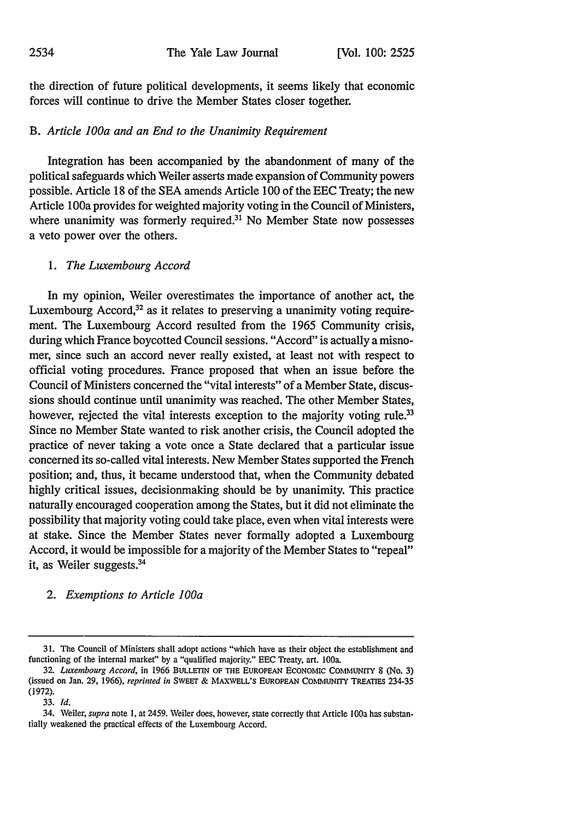the direction of future political developments, it seems likely that economic forces will continue to drive the Member States closer together.

## *B. Article lOa and an End to the Unanimity Requirement*

Integration has been accompanied by the abandonment of many of the political safeguards which Weiler asserts made expansion of Community powers possible. Article 18 of the SEA amends Article 100 of the EEC Treaty; the new Article 100a provides for weighted majority voting in the Council of Ministers, where unanimity was formerly required.<sup>31</sup> No Member State now possesses a veto power over the others.

#### *1. The Luxembourg Accord*

In my opinion, Weiler overestimates the importance of another act, the Luxembourg Accord, $32$  as it relates to preserving a unanimity voting requirement. The Luxembourg Accord resulted from the 1965 Community crisis, during which France boycotted Council sessions. "Accord" is actually a misnomer, since such an accord never really existed, at least not with respect to official voting procedures. France proposed that when an issue before the Council of Ministers concerned the "vital interests" of a Member State, discussions should continue until unanimity was reached. The other Member States, however, rejected the vital interests exception to the majority voting rule.<sup>33</sup> Since no Member State wanted to risk another crisis, the Council adopted the practice of never taking a vote once a State declared that a particular issue concerned its so-called vital interests. New Member States supported the French position; and, thus, it became understood that, when the Community debated highly critical issues, decisionmaking should be by unanimity. This practice naturally encouraged cooperation among the States, but it did not eliminate the possibility that majority voting could take place, even when vital interests were at stake. Since the Member States never formally adopted a Luxembourg Accord, it would be impossible for a majority of the Member States to "repeal" it, as Weiler suggests. <sup>34</sup>

#### *2. Exemptions to Article lOOa*

<sup>31.</sup> The Council of Ministers shall adopt actions "which have as their object the establishment and functioning of the internal market" by a "qualified majority." EEC Treaty, art. 100a.

**<sup>32.</sup>** *Luxembourg Accord,* in 1966 BULLETIN OF THE EUROPEAN ECONOMIC COMMUNrrY **8** (No. **3)** (issued on Jan. 29, 1966), *reprinted in* SWEET & **MAXWELL's EUROPEAN COMiUNITY TREATIES** 234-35 (1972).

<sup>33.</sup> *Id.*

<sup>34.</sup> Weiler, *supra* note 1, at 2459. Weiler does, however, state correctly that Article 100a has substantially weakened the practical effects of the Luxembourg Accord.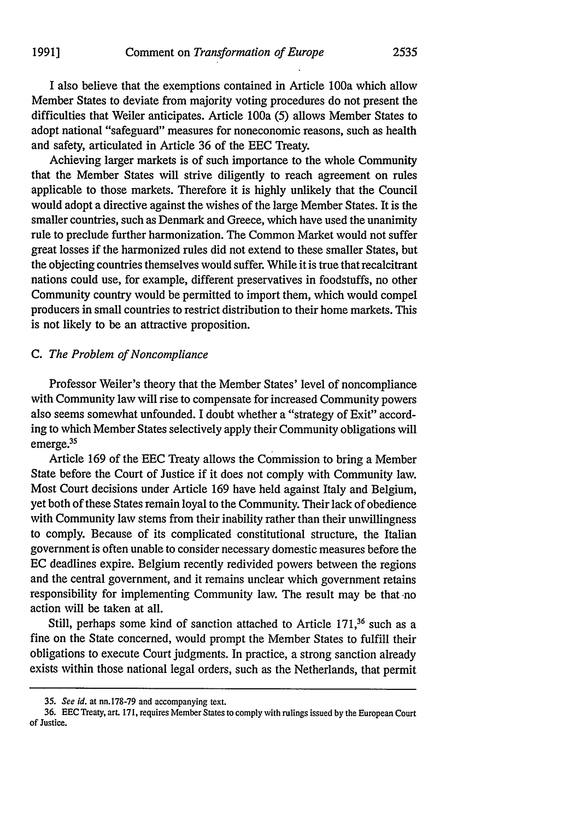I also believe that the exemptions contained in Article 100a which allow Member States to deviate from majority voting procedures do not present the difficulties that Weiler anticipates. Article 100a (5) allows Member States to adopt national "safeguard" measures for noneconomic reasons, such as health and safety, articulated in Article 36 of the EEC Treaty.

Achieving larger markets is of such importance to the whole Community that the Member States will strive diligently to reach agreement on rules applicable to those markets. Therefore it is highly unlikely that the Council would adopt a directive against the wishes of the large Member States. It is the smaller countries, such as Denmark and Greece, which have used the unanimity rule to preclude further harmonization. The Common Market would not suffer great losses if the harmonized rules did not extend to these smaller States, but the objecting countries themselves would suffer. While it is true that recalcitrant nations could use, for example, different preservatives in foodstuffs, no other Community country would be permitted to import them, which would compel producers in small countries to restrict distribution to their home markets. This is not likely to be an attractive proposition.

#### *C. The Problem of Noncompliance*

Professor Weiler's theory that the Member States' level of noncompliance with Community law will rise to compensate for increased Community powers also seems somewhat unfounded. I doubt whether a "strategy of Exit" according to which Member States selectively apply their Community obligations will emerge. 35

Article 169 of the EEC Treaty allows the Commission to bring a Member State before the Court of Justice if it does not comply with Community law. Most Court decisions under Article 169 have held against Italy and Belgium, yet both of these States remain loyal to the Community. Their lack of obedience with Community law stems from their inability rather than their unwillingness to comply. Because of its complicated constitutional structure, the Italian government is often unable to consider necessary domestic measures before the EC deadlines expire. Belgium recently redivided powers between the regions and the central government, and it remains unclear which government retains responsibility for implementing Community law. The result may be that -no action will be taken at all.

Still, perhaps some kind of sanction attached to Article  $171<sup>36</sup>$  such as a fine on the State concerned, would prompt the Member States to fulfill their obligations to execute Court judgments. In practice, a strong sanction already exists within those national legal orders, such as the Netherlands, that permit

<sup>35.</sup> *See* id. at nn.178-79 and accompanying text.

**<sup>36.</sup> EEC** Treaty, art. 171, requires Member States to comply with rulings issued by the European Court of Justice.